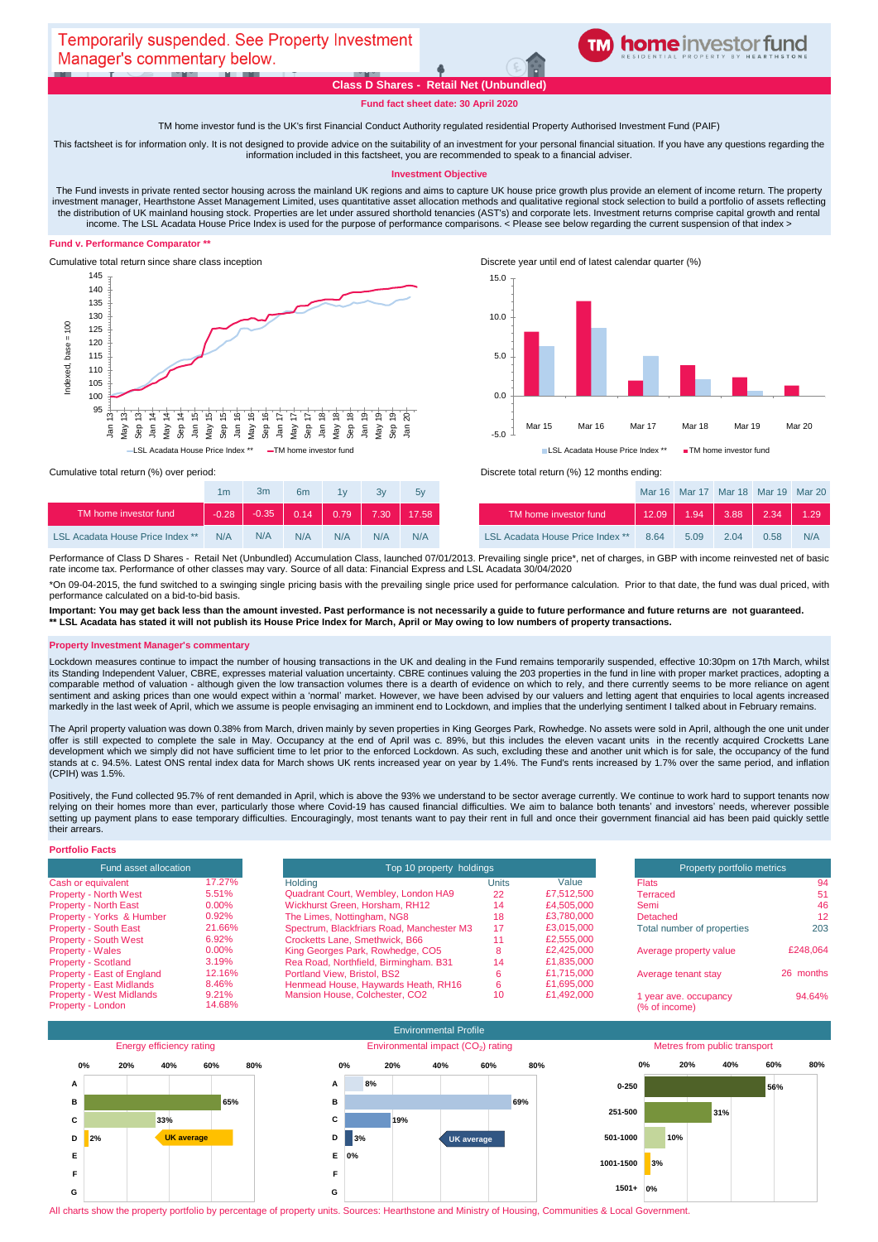

# **Class D Shares - Retail Net (Unbundled)**

**Fund fact sheet date: 30 April 2020**

### TM home investor fund is the UK's first Financial Conduct Authority regulated residential Property Authorised Investment Fund (PAIF)

This factsheet is for information only. It is not designed to provide advice on the suitability of an investment for your personal financial situation. If you have any questions regarding the information included in this factsheet, you are recommended to speak to a financial adviser.

#### **Investment Objective**

The Fund invests in private rented sector housing across the mainland UK regions and aims to capture UK house price growth plus provide an element of income return. The property investment manager, Hearthstone Asset Management Limited, uses quantitative asset allocation methods and qualitative regional stock selection to build a portfolio of assets reflecting the distribution of UK mainland housing stock. Properties are let under assured shorthold tenancies (AST's) and corporate lets. Investment returns comprise capital growth and rental income. The LSL Acadata House Price Index is used for the purpose of performance comparisons. < Please see below regarding the current suspension of that index >

### **Fund v. Performance Comparator \*\***



Cumulative total return since share class inception Discrete year until end of latest calendar quarter (%)



|                                         | 1m      | 3m      | 6 <sub>m</sub> | 1v   | 3v   | 5v    |                                         |
|-----------------------------------------|---------|---------|----------------|------|------|-------|-----------------------------------------|
| TM home investor fund                   | $-0.28$ | $-0.35$ | $-0.14$        | 0.79 | 7.30 | 17.58 | TM home investor fund                   |
| <b>LSL Acadata House Price Index **</b> | N/A     | N/A     | N/A            | N/A  | N/A  | N/A   | <b>LSL Acadata House Price Index **</b> |

Cumulative total return (%) over period: <br>
Cumulative total return (%) over period: <br>
Discrete total return (%) 12 months ending:

| 1 <sub>m</sub> | 3m  | 6m           | 1 <sub>V</sub> | 3v   | 5v    |                                         |       | Mar 16 Mar 17 Mar 18 Mar 19 Mar 20 |      |      |      |
|----------------|-----|--------------|----------------|------|-------|-----------------------------------------|-------|------------------------------------|------|------|------|
| $-0.28$        |     | $-0.35$ 0.14 | 0.79           | 7.30 | 17.58 | TM home investor fund                   | 12.09 | 1.94                               | 3.88 | 2.34 | 1.29 |
| N/A            | N/A | N/A          | N/A            | N/A  | N/A   | <b>LSL Acadata House Price Index **</b> | 8.64  | 5.09                               | 2.04 | 0.58 | N/A  |

Performance of Class D Shares - Retail Net (Unbundled) Accumulation Class, launched 07/01/2013. Prevailing single price\*, net of charges, in GBP with income reinvested net of basic rate income tax. Performance of other classes may vary. Source of all data: Financial Express and LSL Acadata 30/04/2020

\*On 09-04-2015, the fund switched to a swinging single pricing basis with the prevailing single price used for performance calculation. Prior to that date, the fund was dual priced, with performance calculated on a bid-to-bid basis.

**Important: You may get back less than the amount invested. Past performance is not necessarily a guide to future performance and future returns are not guaranteed. \*\* LSL Acadata has stated it will not publish its House Price Index for March, April or May owing to low numbers of property transactions.** 

#### **Property Investment Manager's commentary**

Lockdown measures continue to impact the number of housing transactions in the UK and dealing in the Fund remains temporarily suspended, effective 10:30pm on 17th March, whilst its Standing Independent Valuer, CBRE, expresses material valuation uncertainty. CBRE continues valuing the 203 properties in the fund in line with proper market practices, adopting a comparable method of valuation - although given the low transaction volumes there is a dearth of evidence on which to rely, and there currently seems to be more reliance on agent sentiment and asking prices than one would expect within a 'normal' market. However, we have been advised by our valuers and letting agent that enquiries to local agents increased markedly in the last week of April, which we assume is people envisaging an imminent end to Lockdown, and implies that the underlying sentiment I talked about in February remains.

The April property valuation was down 0.38% from March, driven mainly by seven properties in King Georges Park, Rowhedge. No assets were sold in April, although the one unit under offer is still expected to complete the sale in May. Occupancy at the end of April was c. 89%, but this includes the eleven vacant units in the recently acquired Crocketts Lane development which we simply did not have sufficient time to let prior to the enforced Lockdown. As such, excluding these and another unit which is for sale, the occupancy of the fund stands at c. 94.5%. Latest ONS rental index data for March shows UK rents increased year on year by 1.4%. The Fund's rents increased by 1.7% over the same period, and inflation (CPIH) was 1.5%.

Positively, the Fund collected 95.7% of rent demanded in April, which is above the 93% we understand to be sector average currently. We continue to work hard to support tenants now relying on their homes more than ever, particularly those where Covid-19 has caused financial difficulties. We aim to balance both tenants' and investors' needs, wherever possible setting up payment plans to ease temporary difficulties. Encouragingly, most tenants want to pay their rent in full and once their government financial aid has been paid quickly settle their arrears.

# **Portfolio Facts**

| Fund asset allocation           |          |                                           | Top 10 property holdings |  |  |  |
|---------------------------------|----------|-------------------------------------------|--------------------------|--|--|--|
| Cash or equivalent              | 17.27%   | Holding                                   | Unit                     |  |  |  |
| <b>Property - North West</b>    | 5.51%    | Quadrant Court, Wembley, London HA9       |                          |  |  |  |
| <b>Property - North East</b>    | $0.00\%$ | Wickhurst Green, Horsham, RH12            |                          |  |  |  |
| Property - Yorks & Humber       | 0.92%    | The Limes, Nottingham, NG8                |                          |  |  |  |
| <b>Property - South East</b>    | 21.66%   | Spectrum, Blackfriars Road, Manchester M3 |                          |  |  |  |
| <b>Property - South West</b>    | 6.92%    | Crocketts Lane, Smethwick, B66            |                          |  |  |  |
| <b>Property - Wales</b>         | $0.00\%$ | King Georges Park, Rowhedge, CO5          |                          |  |  |  |
| <b>Property - Scotland</b>      | 3.19%    | Rea Road, Northfield, Birmingham, B31     |                          |  |  |  |
| Property - East of England      | 12.16%   | Portland View, Bristol, BS2               |                          |  |  |  |
| <b>Property - East Midlands</b> | 8.46%    | Henmead House, Haywards Heath, RH16       |                          |  |  |  |
| <b>Property - West Midlands</b> | 9.21%    | Mansion House, Colchester, CO2            |                          |  |  |  |
| Property - London               | 14.68%   |                                           |                          |  |  |  |

| Fund asset allocation           |        | Top 10 property holdings                  | Property portfolio metrics |            |                            |           |
|---------------------------------|--------|-------------------------------------------|----------------------------|------------|----------------------------|-----------|
| Cash or equivalent              | 17.27% | <b>Holding</b>                            | Units                      | Value      | <b>Flats</b>               | 94        |
| <b>Property - North West</b>    | 5.51%  | Quadrant Court, Wembley, London HA9       | 22                         | £7,512,500 | Terraced                   | 51        |
| <b>Property - North East</b>    | 0.00%  | Wickhurst Green, Horsham, RH12            | 14                         | £4,505,000 | Semi                       | 46        |
| Property - Yorks & Humber       | 0.92%  | The Limes, Nottingham, NG8                | 18                         | £3,780,000 | Detached                   | 12        |
| <b>Property - South East</b>    | 21.66% | Spectrum, Blackfriars Road, Manchester M3 | 17                         | £3,015,000 | Total number of properties | 203       |
| <b>Property - South West</b>    | 6.92%  | Crocketts Lane, Smethwick, B66            |                            | £2,555,000 |                            |           |
| <b>Property - Wales</b>         | 0.00%  | King Georges Park, Rowhedge, CO5          |                            | £2,425,000 | Average property value     | £248.064  |
| <b>Property - Scotland</b>      | 3.19%  | Rea Road, Northfield, Birmingham. B31     | 14                         | £1,835,000 |                            |           |
| Property - East of England      | 12.16% | <b>Portland View, Bristol, BS2</b>        |                            | £1,715,000 | Average tenant stay        | 26 months |
| Property - East Midlands        | 8.46%  | Henmead House, Haywards Heath, RH16       |                            | £1.695.000 |                            |           |
| <b>Property - West Midlands</b> | 9.21%  | Mansion House, Colchester, CO2            | 10                         | £1,492,000 | 1 year ave. occupancy      | 94.64%    |
| Property - London               | 14.68% |                                           |                            |            | (% of income)              |           |



All charts show the property portfolio by percentage of property units. Sources: Hearthstone and Ministry of Housing, Communities & Local Government.